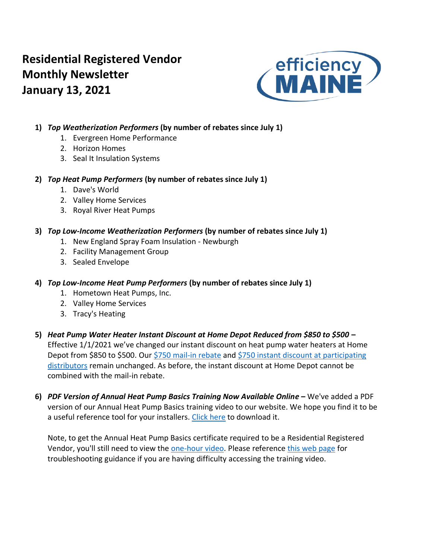# **Residential Registered Vendor Monthly Newsletter January 13, 2021**



# **1)** *Top Weatherization Performers* **(by number of rebates since July 1)**

- 1. Evergreen Home Performance
- 2. Horizon Homes
- 3. Seal It Insulation Systems

## **2)** *Top Heat Pump Performers* **(by number of rebates since July 1)**

- 1. Dave's World
- 2. Valley Home Services
- 3. Royal River Heat Pumps

# **3)** *Top Low-Income Weatherization Performers* **(by number of rebates since July 1)**

- 1. New England Spray Foam Insulation Newburgh
- 2. Facility Management Group
- 3. Sealed Envelope

# **4)** *Top Low-Income Heat Pump Performers* **(by number of rebates since July 1)**

- 1. Hometown Heat Pumps, Inc.
- 2. Valley Home Services
- 3. Tracy's Heating
- **5)** *Heat Pump Water Heater Instant Discount at Home Depot Reduced from \$850 to \$500* **–** Effective 1/1/2021 we've changed our instant discount on heat pump water heaters at Home Depot from \$850 to \$500. Our [\\$750 mail-in rebate](https://www.efficiencymaine.com/at-home/heat-pump-water-heater-program/) and [\\$750 instant discount at participating](https://www.efficiencymaine.com/docs/EM-HPWH-Instant-Rebate-Locations.pdf)  [distributors](https://www.efficiencymaine.com/docs/EM-HPWH-Instant-Rebate-Locations.pdf) remain unchanged. As before, the instant discount at Home Depot cannot be combined with the mail-in rebate.
- **6)** *PDF Version of Annual Heat Pump Basics Training Now Available Online* **–** We've added a PDF version of our Annual Heat Pump Basics training video to our website. We hope you find it to be a useful reference tool for your installers. [Click here](https://www.efficiencymaine.com/docs/Annual-Heat-Pump-Basics-Module.pdf) to download it.

Note, to get the Annual Heat Pump Basics certificate required to be a Residential Registered Vendor, you'll still need to view the [one-hour video.](https://www.efficiencymainetraining.com/) Please reference [this web page](https://www.efficiencymainetraining.com/troubleshooting-guide-for-efficiency-maine-online-training-programs/) for troubleshooting guidance if you are having difficulty accessing the training video.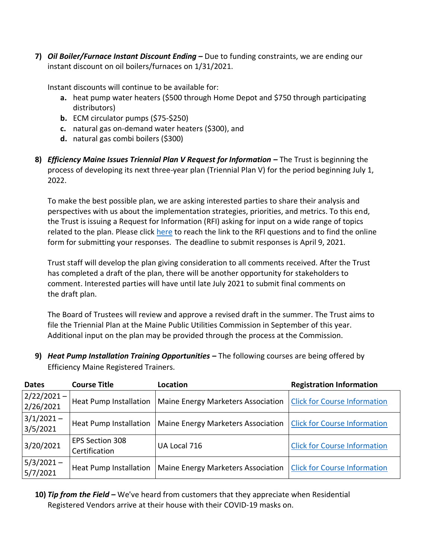**7)** *Oil Boiler/Furnace Instant Discount Ending –* Due to funding constraints, we are ending our instant discount on oil boilers/furnaces on 1/31/2021.

Instant discounts will continue to be available for:

- **a.** heat pump water heaters (\$500 through Home Depot and \$750 through participating distributors)
- **b.** ECM circulator pumps (\$75-\$250)
- **c.** natural gas on-demand water heaters (\$300), and
- **d.** natural gas combi boilers (\$300)
- **8)** *Efficiency Maine Issues Triennial Plan V Request for Information –* The Trust is beginning the process of developing its next three-year plan (Triennial Plan V) for the period beginning July 1, 2022.

To make the best possible plan, we are asking interested parties to share their analysis and perspectives with us about the implementation strategies, priorities, and metrics. To this end, the Trust is issuing a Request for Information (RFI) asking for input on a wide range of topics related to the plan. Please click [here](https://www.efficiencymaine.com/triennial-plan-v/) to reach the link to the RFI questions and to find the online form for submitting your responses. The deadline to submit responses is April 9, 2021.

Trust staff will develop the plan giving consideration to all comments received. After the Trust has completed a draft of the plan, there will be another opportunity for stakeholders to comment. Interested parties will have until late July 2021 to submit final comments on the draft plan.

The Board of Trustees will review and approve a revised draft in the summer. The Trust aims to file the Triennial Plan at the Maine Public Utilities Commission in September of this year. Additional input on the plan may be provided through the process at the Commission.

**9)** *Heat Pump Installation Training Opportunities* **–** The following courses are being offered by Efficiency Maine Registered Trainers.

| <b>Dates</b>               | <b>Course Title</b>              | Location                                  | <b>Registration Information</b>     |  |  |  |  |  |
|----------------------------|----------------------------------|-------------------------------------------|-------------------------------------|--|--|--|--|--|
| $2/22/2021 -$<br>2/26/2021 | <b>Heat Pump Installation</b>    | Maine Energy Marketers Association        | <b>Click for Course Information</b> |  |  |  |  |  |
| $3/1/2021 -$<br>3/5/2021   | <b>Heat Pump Installation</b>    | <b>Maine Energy Marketers Association</b> | <b>Click for Course Information</b> |  |  |  |  |  |
| 3/20/2021                  | EPS Section 308<br>Certification | UA Local 716                              | <b>Click for Course Information</b> |  |  |  |  |  |
| $5/3/2021 -$<br>5/7/2021   | <b>Heat Pump Installation</b>    | Maine Energy Marketers Association        | <b>Click for Course Information</b> |  |  |  |  |  |

**10)** *Tip from the Field –* We've heard from customers that they appreciate when Residential Registered Vendors arrive at their house with their COVID-19 masks on.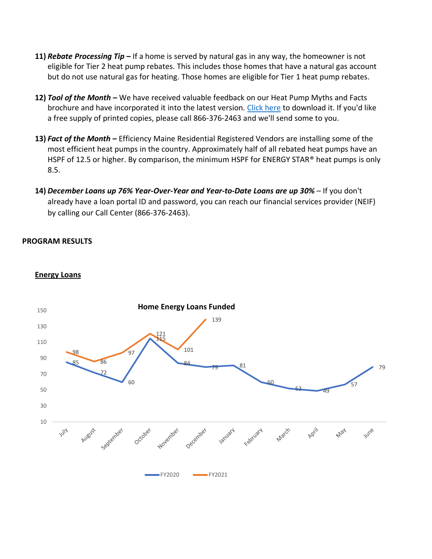- **11)** *Rebate Processing Tip –* If a home is served by natural gas in any way, the homeowner is not eligible for Tier 2 heat pump rebates. This includes those homes that have a natural gas account but do not use natural gas for heating. Those homes are eligible for Tier 1 heat pump rebates.
- **12)** *Tool of the Month –* We have received valuable feedback on our Heat Pump Myths and Facts brochure and have incorporated it into the latest version. [Click here](https://www.efficiencymaine.com/docs/Heat-Pump-Myths-and-Facts.pdf) to download it. If you'd like a free supply of printed copies, please call 866-376-2463 and we'll send some to you.
- **13)** *Fact of the Month –* Efficiency Maine Residential Registered Vendors are installing some of the most efficient heat pumps in the country. Approximately half of all rebated heat pumps have an HSPF of 12.5 or higher. By comparison, the minimum HSPF for ENERGY STAR® heat pumps is only 8.5.
- **14)** *December Loans up 76% Year-Over-Year and Year-to-Date Loans are up 30% –* If you don't already have a loan portal ID and password, you can reach our financial services provider (NEIF) by calling our Call Center (866-376-2463).

#### **PROGRAM RESULTS**



#### **Energy Loans**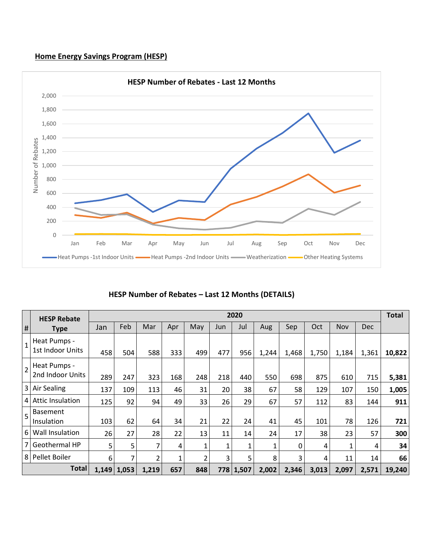#### **Home Energy Savings Program (HESP)**



## **HESP Number of Rebates – Last 12 Months (DETAILS)**

|                | <b>HESP Rebate</b>               | 2020 |               |       |     |     |     |           |       |       |       |       |            |        |  |
|----------------|----------------------------------|------|---------------|-------|-----|-----|-----|-----------|-------|-------|-------|-------|------------|--------|--|
| #              | <b>Type</b>                      | Jan  | Feb           | Mar   | Apr | May | Jun | Jul       | Aug   | Sep   | Oct   | Nov   | <b>Dec</b> |        |  |
| $\mathbf{1}$   | Heat Pumps -<br>1st Indoor Units | 458  | 504           | 588   | 333 | 499 | 477 | 956       | 1,244 | 1,468 | 1,750 | 1,184 | 1,361      | 10,822 |  |
| $\overline{2}$ | Heat Pumps -<br>2nd Indoor Units | 289  | 247           | 323   | 168 | 248 | 218 | 440       | 550   | 698   | 875   | 610   | 715        | 5,381  |  |
| $\overline{3}$ | <b>Air Sealing</b>               | 137  | 109           | 113   | 46  | 31  | 20  | 38        | 67    | 58    | 129   | 107   | 150        | 1,005  |  |
| $\overline{4}$ | <b>Attic Insulation</b>          | 125  | 92            | 94    | 49  | 33  | 26  | 29        | 67    | 57    | 112   | 83    | 144        | 911    |  |
| 5              | <b>Basement</b><br>Insulation    | 103  | 62            | 64    | 34  | 21  | 22  | 24        | 41    | 45    | 101   | 78    | 126        | 721    |  |
| 6              | Wall Insulation                  | 26   | 27            | 28    | 22  | 13  | 11  | 14        | 24    | 17    | 38    | 23    | 57         | 300    |  |
| $\overline{7}$ | Geothermal HP                    | 5    | 5             | 7     | 4   | 1   | 1   |           | 1     | 0     | 4     | 1     | 4          | 34     |  |
| 8              | Pellet Boiler                    | 6    | 7             | 2     | 1   | 2   | 3   | 5         | 8     | 3     | 4     | 11    | 14         | 66     |  |
| <b>Total</b>   |                                  |      | $1,149$ 1,053 | 1,219 | 657 | 848 |     | 778 1,507 | 2,002 | 2,346 | 3,013 | 2,097 | 2,571      | 19,240 |  |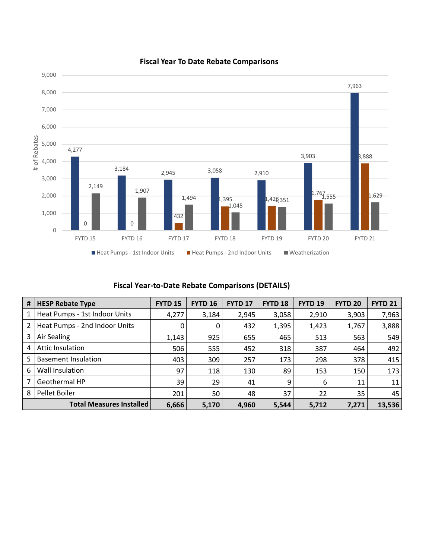

#### **Fiscal Year To Date Rebate Comparisons**

## **Fiscal Year-to-Date Rebate Comparisons (DETAILS)**

| #              | <b>HESP Rebate Type</b>         | <b>FYTD 15</b> | <b>FYTD 16</b> | <b>FYTD 17</b> | <b>FYTD 18</b> | FYTD <sub>19</sub> | <b>FYTD 20</b> | <b>FYTD 21</b> |
|----------------|---------------------------------|----------------|----------------|----------------|----------------|--------------------|----------------|----------------|
| 1              | Heat Pumps - 1st Indoor Units   | 4,277          | 3,184          | 2,945          | 3,058          | 2,910              | 3,903          | 7,963          |
| $\overline{2}$ | Heat Pumps - 2nd Indoor Units   | 0              | 0              | 432            | 1,395          | 1,423              | 1,767          | 3,888          |
| 3              | Air Sealing                     | 1,143          | 925            | 655            | 465            | 513                | 563            | 549            |
| 4              | Attic Insulation                | 506            | 555            | 452            | 318            | 387                | 464            | 492            |
| 5              | Basement Insulation             | 403            | 309            | 257            | 173            | 298                | 378            | 415            |
| 6              | Wall Insulation                 | 97             | 118            | 130            | 89             | 153                | 150            | 173            |
| 7              | Geothermal HP                   | 39             | 29             | 41             | 9              | 6                  | 11             | 11             |
| 8              | Pellet Boiler                   | 201            | 50             | 48             | 37             | 22                 | 35             | 45             |
|                | <b>Total Measures Installed</b> | 6,666          | 5,170          | 4,960          | 5,544          | 5,712              | 7,271          | 13,536         |